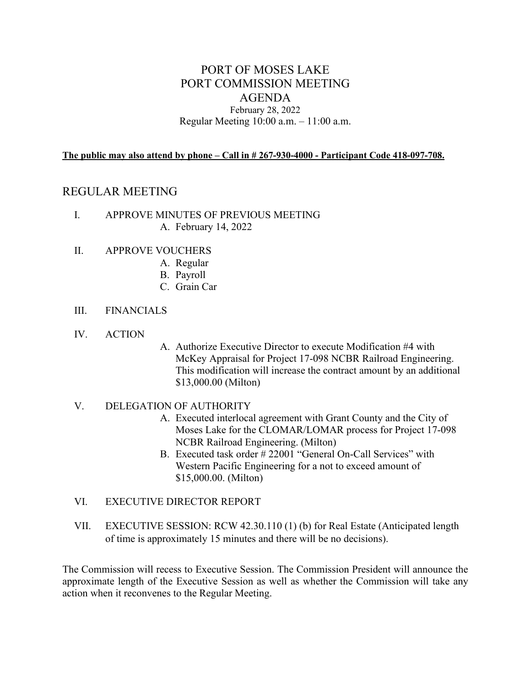## PORT OF MOSES LAKE PORT COMMISSION MEETING AGENDA February 28, 2022

Regular Meeting 10:00 a.m. – 11:00 a.m.

**The public may also attend by phone – Call in # 267-930-4000 - Participant Code 418-097-708.**

## REGULAR MEETING

- I. APPROVE MINUTES OF PREVIOUS MEETING A. February 14, 2022
- II. APPROVE VOUCHERS
	- A. Regular
	- B. Payroll
	- C. Grain Car
- III. FINANCIALS
- IV. ACTION
- A. Authorize Executive Director to execute Modification #4 with McKey Appraisal for Project 17-098 NCBR Railroad Engineering. This modification will increase the contract amount by an additional \$13,000.00 (Milton)
- V. DELEGATION OF AUTHORITY
	- A. Executed interlocal agreement with Grant County and the City of Moses Lake for the CLOMAR/LOMAR process for Project 17-098 NCBR Railroad Engineering. (Milton)
	- B. Executed task order # 22001 "General On-Call Services" with Western Pacific Engineering for a not to exceed amount of \$15,000.00. (Milton)
- VI. EXECUTIVE DIRECTOR REPORT
- VII. EXECUTIVE SESSION: RCW 42.30.110 (1) (b) for Real Estate (Anticipated length of time is approximately 15 minutes and there will be no decisions).

The Commission will recess to Executive Session. The Commission President will announce the approximate length of the Executive Session as well as whether the Commission will take any action when it reconvenes to the Regular Meeting.